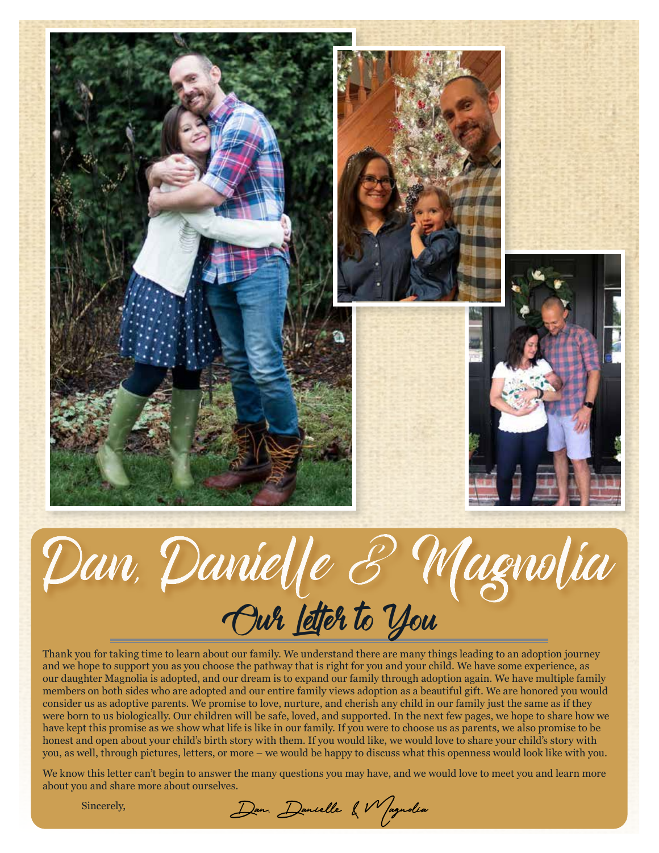



Thank you for taking time to learn about our family. We understand there are many things leading to an adoption journey and we hope to support you as you choose the pathway that is right for you and your child. We have some experience, as our daughter Magnolia is adopted, and our dream is to expand our family through adoption again. We have multiple family members on both sides who are adopted and our entire family views adoption as a beautiful gift. We are honored you would consider us as adoptive parents. We promise to love, nurture, and cherish any child in our family just the same as if they were born to us biologically. Our children will be safe, loved, and supported. In the next few pages, we hope to share how we have kept this promise as we show what life is like in our family. If you were to choose us as parents, we also promise to be honest and open about your child's birth story with them. If you would like, we would love to share your child's story with you, as well, through pictures, letters, or more – we would be happy to discuss what this openness would look like with you.

We know this letter can't begin to answer the many questions you may have, and we would love to meet you and learn more about you and share more about ourselves.

Sincerely,

Dan. Danielle & Magnolia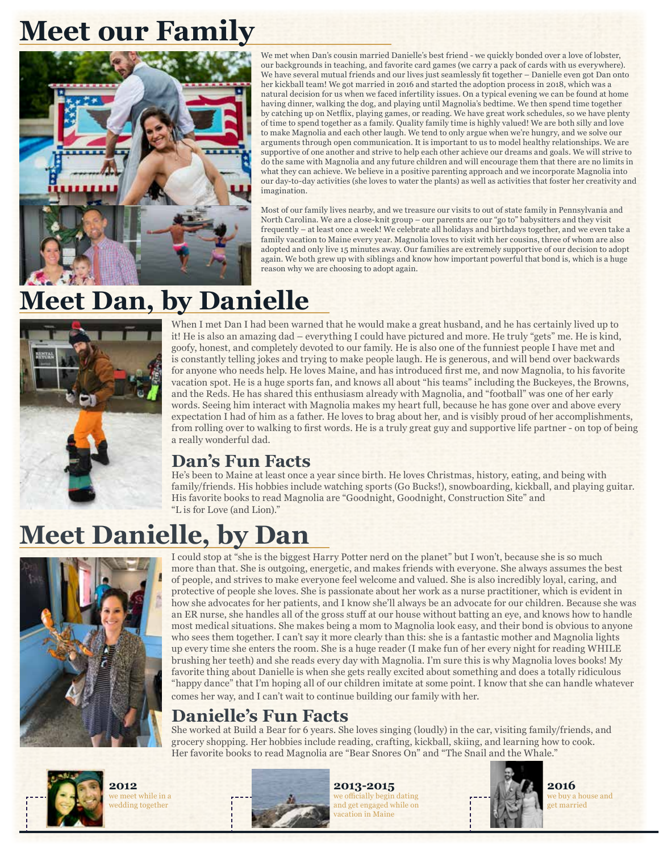# **Meet our Family**



We met when Dan's cousin married Danielle's best friend - we quickly bonded over a love of lobster, our backgrounds in teaching, and favorite card games (we carry a pack of cards with us everywhere). We have several mutual friends and our lives just seamlessly fit together – Danielle even got Dan onto her kickball team! We got married in 2016 and started the adoption process in 2018, which was a natural decision for us when we faced infertility issues. On a typical evening we can be found at home having dinner, walking the dog, and playing until Magnolia's bedtime. We then spend time together by catching up on Netflix, playing games, or reading. We have great work schedules, so we have plenty of time to spend together as a family. Quality family time is highly valued! We are both silly and love to make Magnolia and each other laugh. We tend to only argue when we're hungry, and we solve our arguments through open communication. It is important to us to model healthy relationships. We are supportive of one another and strive to help each other achieve our dreams and goals. We will strive to do the same with Magnolia and any future children and will encourage them that there are no limits in what they can achieve. We believe in a positive parenting approach and we incorporate Magnolia into our day-to-day activities (she loves to water the plants) as well as activities that foster her creativity and imagination.

Most of our family lives nearby, and we treasure our visits to out of state family in Pennsylvania and North Carolina. We are a close-knit group – our parents are our "go to" babysitters and they visit frequently – at least once a week! We celebrate all holidays and birthdays together, and we even take a family vacation to Maine every year. Magnolia loves to visit with her cousins, three of whom are also adopted and only live 15 minutes away. Our families are extremely supportive of our decision to adopt again. We both grew up with siblings and know how important powerful that bond is, which is a huge reason why we are choosing to adopt again.

# **Meet Dan, by Danielle**



When I met Dan I had been warned that he would make a great husband, and he has certainly lived up to it! He is also an amazing dad – everything I could have pictured and more. He truly "gets" me. He is kind, goofy, honest, and completely devoted to our family. He is also one of the funniest people I have met and is constantly telling jokes and trying to make people laugh. He is generous, and will bend over backwards for anyone who needs help. He loves Maine, and has introduced first me, and now Magnolia, to his favorite vacation spot. He is a huge sports fan, and knows all about "his teams" including the Buckeyes, the Browns, and the Reds. He has shared this enthusiasm already with Magnolia, and "football" was one of her early words. Seeing him interact with Magnolia makes my heart full, because he has gone over and above every expectation I had of him as a father. He loves to brag about her, and is visibly proud of her accomplishments, from rolling over to walking to first words. He is a truly great guy and supportive life partner - on top of being a really wonderful dad.

### **Dan's Fun Facts**

He's been to Maine at least once a year since birth. He loves Christmas, history, eating, and being with family/friends. His hobbies include watching sports (Go Bucks!), snowboarding, kickball, and playing guitar. His favorite books to read Magnolia are "Goodnight, Goodnight, Construction Site" and "L is for Love (and Lion)."

## **Meet Danielle, by Dan**



I could stop at "she is the biggest Harry Potter nerd on the planet" but I won't, because she is so much more than that. She is outgoing, energetic, and makes friends with everyone. She always assumes the best of people, and strives to make everyone feel welcome and valued. She is also incredibly loyal, caring, and protective of people she loves. She is passionate about her work as a nurse practitioner, which is evident in how she advocates for her patients, and I know she'll always be an advocate for our children. Because she was an ER nurse, she handles all of the gross stuff at our house without batting an eye, and knows how to handle most medical situations. She makes being a mom to Magnolia look easy, and their bond is obvious to anyone who sees them together. I can't say it more clearly than this: she is a fantastic mother and Magnolia lights up every time she enters the room. She is a huge reader (I make fun of her every night for reading WHILE brushing her teeth) and she reads every day with Magnolia. I'm sure this is why Magnolia loves books! My favorite thing about Danielle is when she gets really excited about something and does a totally ridiculous "happy dance" that I'm hoping all of our children imitate at some point. I know that she can handle whatever comes her way, and I can't wait to continue building our family with her.

### **Danielle's Fun Facts**

She worked at Build a Bear for 6 years. She loves singing (loudly) in the car, visiting family/friends, and grocery shopping. Her hobbies include reading, crafting, kickball, skiing, and learning how to cook. Her favorite books to read Magnolia are "Bear Snores On" and "The Snail and the Whale."



**2012** we meet while in a edding together



**2013-2015** we officially begin dating and get engaged while on vacation in Maine



**2016** we buy a house and get married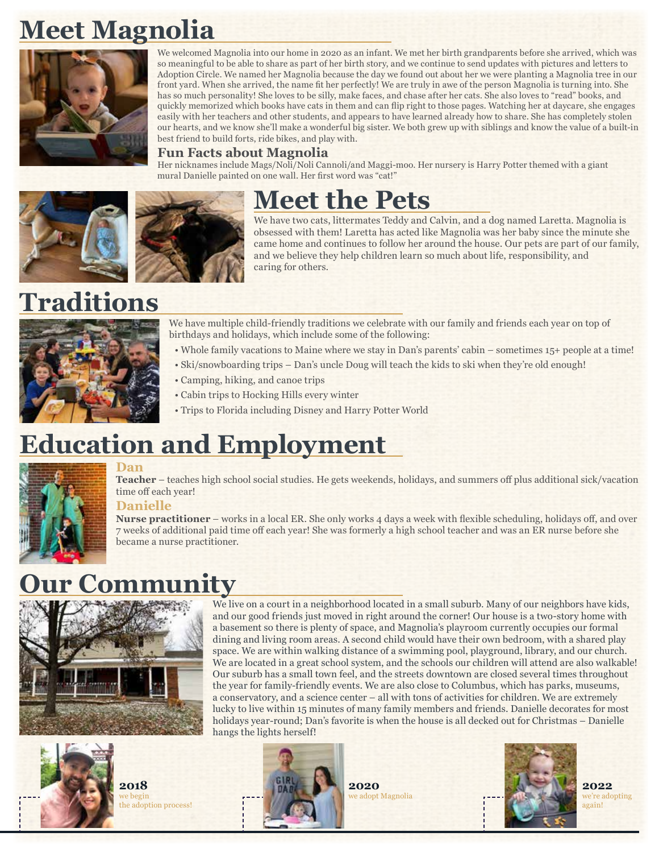# **Meet Magnolia**



We welcomed Magnolia into our home in 2020 as an infant. We met her birth grandparents before she arrived, which was so meaningful to be able to share as part of her birth story, and we continue to send updates with pictures and letters to Adoption Circle. We named her Magnolia because the day we found out about her we were planting a Magnolia tree in our front yard. When she arrived, the name fit her perfectly! We are truly in awe of the person Magnolia is turning into. She has so much personality! She loves to be silly, make faces, and chase after her cats. She also loves to "read" books, and quickly memorized which books have cats in them and can flip right to those pages. Watching her at daycare, she engages easily with her teachers and other students, and appears to have learned already how to share. She has completely stolen our hearts, and we know she'll make a wonderful big sister. We both grew up with siblings and know the value of a built-in best friend to build forts, ride bikes, and play with.

#### **Fun Facts about Magnolia**

Her nicknames include Mags/Noli/Noli Cannoli/and Maggi-moo. Her nursery is Harry Potter themed with a giant mural Danielle painted on one wall. Her first word was "cat!"





We have two cats, littermates Teddy and Calvin, and a dog named Laretta. Magnolia is obsessed with them! Laretta has acted like Magnolia was her baby since the minute she came home and continues to follow her around the house. Our pets are part of our family, and we believe they help children learn so much about life, responsibility, and caring for others.

# **Traditions**



We have multiple child-friendly traditions we celebrate with our family and friends each year on top of birthdays and holidays, which include some of the following:

- Whole family vacations to Maine where we stay in Dan's parents' cabin sometimes 15+ people at a time!
- Ski/snowboarding trips Dan's uncle Doug will teach the kids to ski when they're old enough!
- Camping, hiking, and canoe trips
- Cabin trips to Hocking Hills every winter
- Trips to Florida including Disney and Harry Potter World

# **Education and Employment**



#### **Dan**

**Teacher** – teaches high school social studies. He gets weekends, holidays, and summers off plus additional sick/vacation time off each year!

#### **Danielle**

**Nurse practitioner** – works in a local ER. She only works 4 days a week with flexible scheduling, holidays off, and over 7 weeks of additional paid time off each year! She was formerly a high school teacher and was an ER nurse before she became a nurse practitioner.

> We live on a court in a neighborhood located in a small suburb. Many of our neighbors have kids, and our good friends just moved in right around the corner! Our house is a two-story home with a basement so there is plenty of space, and Magnolia's playroom currently occupies our formal dining and living room areas. A second child would have their own bedroom, with a shared play space. We are within walking distance of a swimming pool, playground, library, and our church. We are located in a great school system, and the schools our children will attend are also walkable! Our suburb has a small town feel, and the streets downtown are closed several times throughout the year for family-friendly events. We are also close to Columbus, which has parks, museums, a conservatory, and a science center – all with tons of activities for children. We are extremely lucky to live within 15 minutes of many family members and friends. Danielle decorates for most holidays year-round; Dan's favorite is when the house is all decked out for Christmas – Danielle

### **Our Community**





**2018** <sup>re</sup> begin the adoption process!



**2020** we adopt Magnolia



**2022** we're adopting again!